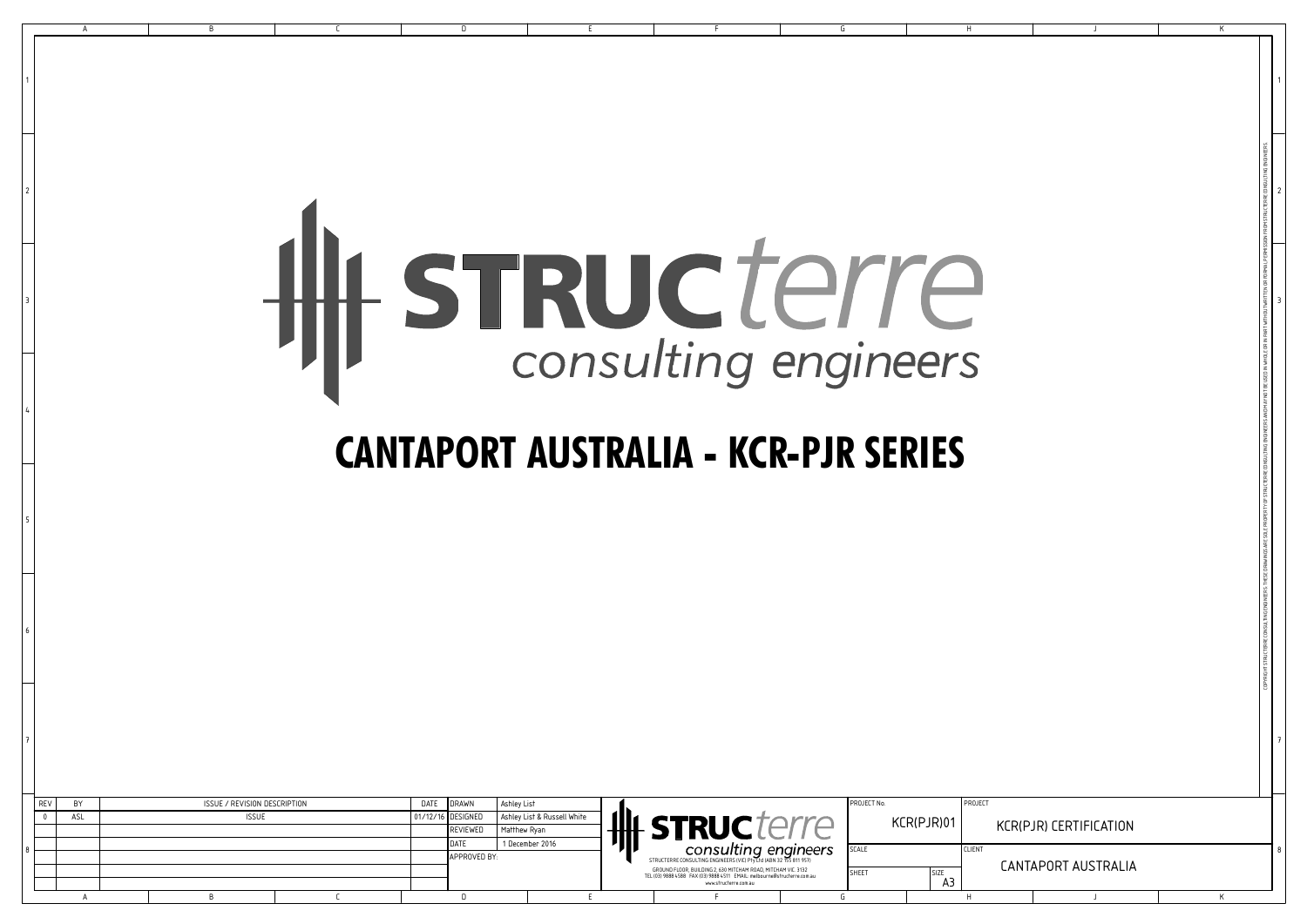1

2

3

4

5

6

7

|  | REV | <b>RY</b> | ISSUE / REVISION DESCRIPTION |  | DATE | DRAWN             | Ashley List                 |  | 珊                                                                                                                                         |  | PROJECT No.  |             | PROJECT       |                        |  |
|--|-----|-----------|------------------------------|--|------|-------------------|-----------------------------|--|-------------------------------------------------------------------------------------------------------------------------------------------|--|--------------|-------------|---------------|------------------------|--|
|  |     | ASL       | <b>ISSUE</b>                 |  |      | 01/12/16 DESIGNED | Ashley List & Russell White |  |                                                                                                                                           |  |              | KCR(PJR)01  |               |                        |  |
|  |     |           |                              |  |      | REVIEWED          | Matthew Ryan                |  | <b>STRUC</b>                                                                                                                              |  |              |             |               | KCR(PJR) CERTIFICATION |  |
|  |     |           |                              |  |      |                   | 1 December 2016             |  | consulting engineers                                                                                                                      |  | <b>SCALE</b> |             | <b>CLIENT</b> |                        |  |
|  |     |           |                              |  |      | APPROVED BY:      |                             |  | STRUCTERRE CONSULTING ENGINEERS (VIC) Pry Ltd (ABN 32 155 811 957)                                                                        |  |              |             |               |                        |  |
|  |     |           |                              |  |      |                   |                             |  | GROUND FLOOR, BUILDING 2, 630 MITCHAM ROAD, MITCHAM VIC. 3132<br>TEL (03) 9888 4588 FAX (03) 9888 4511 EMAIL: melbourne@structerre.com.au |  | SHEET        | <b>SIZE</b> |               | CANTAPORT AUSTRALIA    |  |
|  |     |           |                              |  |      |                   |                             |  | www.structerre.com.au                                                                                                                     |  |              |             |               |                        |  |
|  |     |           |                              |  |      |                   |                             |  |                                                                                                                                           |  |              |             |               |                        |  |

|                                              |                                                                                 |                                                                               | Hy STRUCTerre<br><b>CANTAPORT AUSTRALIA - KCR-PJR SERIES</b>                                                      | G                                                                                                                      |  |
|----------------------------------------------|---------------------------------------------------------------------------------|-------------------------------------------------------------------------------|-------------------------------------------------------------------------------------------------------------------|------------------------------------------------------------------------------------------------------------------------|--|
| ISSUE / REVISION DESCRIPTION<br><b>ISSUE</b> | <b>DRAWN</b><br>DATE<br>DESIGNED<br>01/12/16<br>REVIEWED<br>DATE<br>APPROVED BY | Ashley List<br>Ashley List & Russell White<br>Matthew Ryan<br>1 December 2016 | HIL STRUCTerre<br>STRUCTERRE CONSULTING ENGINEER<br>GROUND FLOOR, BUILDING 2, 630 MITCHAM ROAD, MITCHAM VIC. 3132 | PROJECT No.<br>PROJECT<br>KCR(PJR)01<br>KCR(PJR) CERTIFICATION<br>SCALE<br><b>CLIENT</b><br><b>CANTAPORT AUSTRALIA</b> |  |

## HH STRUCTerre

## **CANTAPORT AUSTRALIA - KCR-PJR SERIES**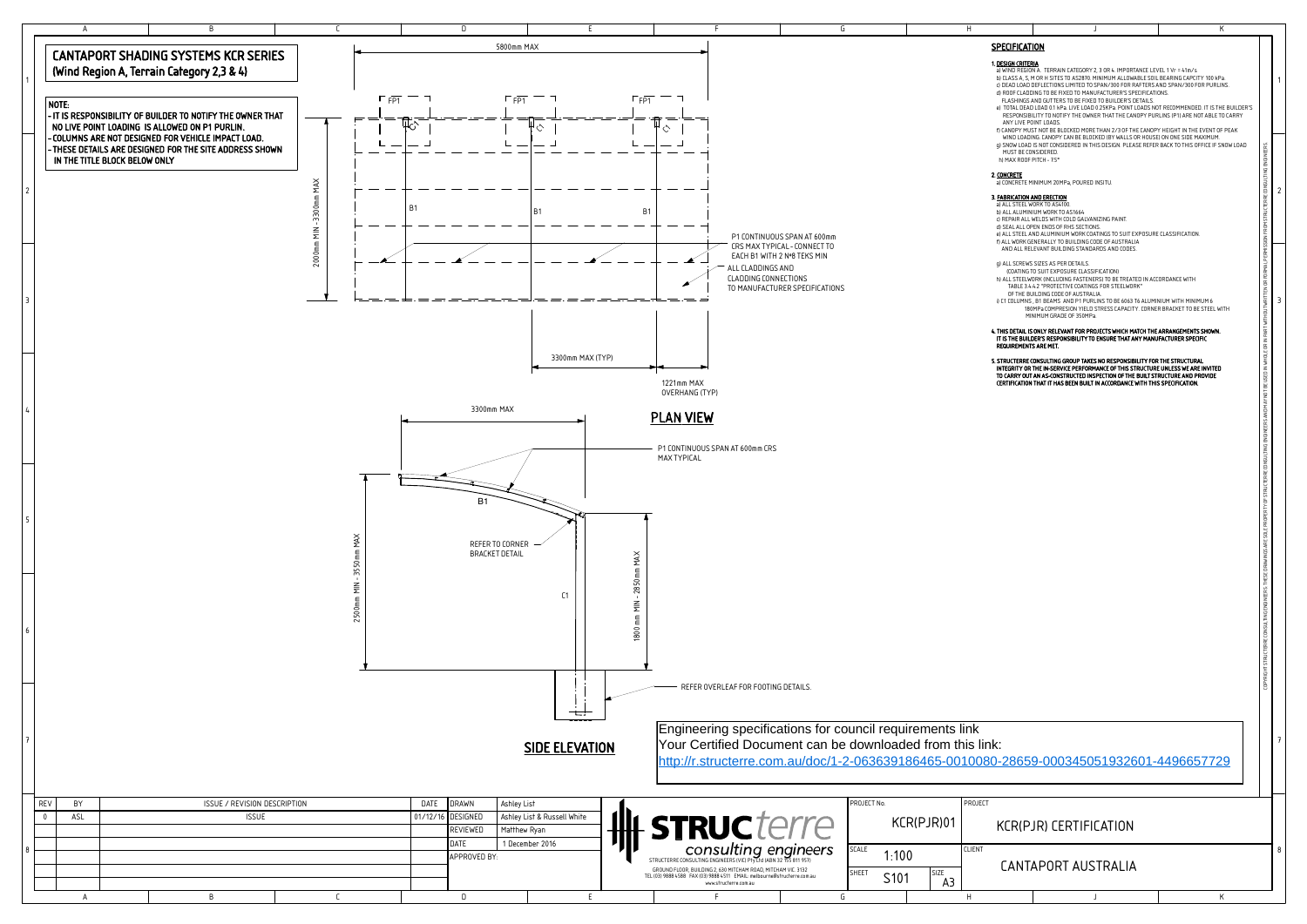| <b>SPECIFICATION</b><br>1. DESIGN CRITERIA<br>a) WIND REGION A. TERRAIN CATEGORY 2, 3 OR 4. IMPORTANCE LEVEL 1 Vr = 41m/s<br>b) CLASS A, S, M OR H SITES TO AS2870. MINIMUM ALLOWABLE SOIL BEARING CAPCITY 100 kPa.<br>1<br>c) DEAD LOAD DEFLECTIONS LIMITED TO SPAN/300 FOR RAFTERS AND SPAN/300 FOR PURLINS.<br>d) ROOF CLADDING TO BE FIXED TO MANUFACTURER'S SPECIFICATIONS.<br>FLASHINGS AND GUTTERS TO BE FIXED TO BUILDER'S DETAILS.<br>e) TOTAL DEAD LOAD 0.1 kPa. LIVE LOAD 0.25KPa. POINT LOADS NOT RECOMMENDED. IT IS THE BUILDER'S<br>RESPONSIBILITY TO NOTIFY THE OWNER THAT THE CANOPY PURLINS (P1) ARE NOT ABLE TO CARRY<br>ANY LIVE POINT LOADS.<br>f) CANOPY MUST NOT BE BLOCKED MORE THAN 2/3 OF THE CANOPY HEIGHT IN THE EVENT OF PEAK<br>WIND LOADING. CANOPY CAN BE BLOCKED (BY WALLS OR HOUSE) ON ONE SIDE MAXIMUM.<br>g) SNOW LOAD IS NOT CONSIDERED IN THIS DESIGN. PLEASE REFER BACK TO THIS OFFICE IF SNOW LOAD<br>ERTY OF STRUCTERRE CONSULTING ENGINEERS AND MAY NOT BE USED IN WHOLE OR IN PART WITHOUT WRITTEN OR PORMAL PERMISSION FROM STRUCTERRECONSULTING ENGINEERS<br>MUST BE CONSIDERED.<br>h) MAX ROOF PITCH - 7.5°<br>2. CONCRETE<br>a) CONCRETE MINIMUM 20MPa, POURED INSITU.<br>2<br>3. FABRICATION AND ERECTION<br>a) ALL STEEL WORK TO AS4100.<br>b) ALL ALUMINIUM WORK TO AS1664<br>c) REPAIR ALL WELDS WITH COLD GALVANIZING PAINT.<br>d) SEAL ALL OPEN ENDS OF RHS SECTIONS.<br>e) ALL STEEL AND ALUMINIUM WORK COATINGS TO SUIT EXPOSURE CLASSIFICATION.<br>f) ALL WORK GENERALLY TO BUILDING CODE OF AUSTRALIA<br>AND ALL RELEVANT BUILDING STANDARDS AND CODES.<br>q) ALL SCREWS SIZES AS PER DETAILS.<br>(COATING TO SUIT EXPOSURE CLASSIFICATION)<br>h) ALL STEELWORK (INCLUDING FASTENERS) TO BE TREATED IN ACCORDANCE WITH<br>TABLE 3.4.4.2 "PROTECTIVE COATINGS FOR STEELWORK"<br>OF THE BUILDING CODE OF AUSTRALIA.<br>3<br>i) C1 COLUMNS, B1 BEAMS AND P1 PURLINS TO BE 6063 T6 ALUMINIUM WITH MINIMUM 6<br>180MPa COMPRESION YIELD STRESS CAPACITY. CORNER BRACKET TO BE STEEL WITH<br>MINIMUM GRADE OF 350MPa.<br>4. THIS DETAIL IS ONLY RELEVANT FOR PROJECTS WHICH MATCH THE ARRANGEMENTS SHOWN.<br>IT IS THE BUILDER'S RESPONSIBILITY TO ENSURE THAT ANY MANUFACTURER SPECIFIC<br><b>REQUIREMENTS ARE MET.</b><br>5. STRUCTERRE CONSULTING GROUP TAKES NO RESPONSIBILITY FOR THE STRUCTURAL<br>INTEGRITY OR THE IN-SERVICE PERFORMANCE OF THIS STRUCTURE UNLESS WE ARE INVITED<br>TO CARRY OUT AN AS-CONSTRUCTED INSPECTION OF THE BUILT STRUCTURE AND PROVIDE<br>CERTIFICATION THAT IT HAS BEEN BUILT IN ACCORDANCE WITH THIS SPECIFICATION.<br>COPYRIGHT STRUCTERRE CONSULTING ENGINEERS: THESE DRAWINGS ARE SOLE PROPI<br>7<br><b>KCR(PJR) CERTIFICATION</b><br>8<br>CANTAPORT AUSTRALIA<br>J<br>K |  | J | Κ |  |  |  |  |  |  |  |  |  |
|-------------------------------------------------------------------------------------------------------------------------------------------------------------------------------------------------------------------------------------------------------------------------------------------------------------------------------------------------------------------------------------------------------------------------------------------------------------------------------------------------------------------------------------------------------------------------------------------------------------------------------------------------------------------------------------------------------------------------------------------------------------------------------------------------------------------------------------------------------------------------------------------------------------------------------------------------------------------------------------------------------------------------------------------------------------------------------------------------------------------------------------------------------------------------------------------------------------------------------------------------------------------------------------------------------------------------------------------------------------------------------------------------------------------------------------------------------------------------------------------------------------------------------------------------------------------------------------------------------------------------------------------------------------------------------------------------------------------------------------------------------------------------------------------------------------------------------------------------------------------------------------------------------------------------------------------------------------------------------------------------------------------------------------------------------------------------------------------------------------------------------------------------------------------------------------------------------------------------------------------------------------------------------------------------------------------------------------------------------------------------------------------------------------------------------------------------------------------------------------------------------------------------------------------------------------------------------------------------------------------------------------------------------------------------------------------------------------------------------------------------------------------|--|---|---|--|--|--|--|--|--|--|--|--|
|                                                                                                                                                                                                                                                                                                                                                                                                                                                                                                                                                                                                                                                                                                                                                                                                                                                                                                                                                                                                                                                                                                                                                                                                                                                                                                                                                                                                                                                                                                                                                                                                                                                                                                                                                                                                                                                                                                                                                                                                                                                                                                                                                                                                                                                                                                                                                                                                                                                                                                                                                                                                                                                                                                                                                                   |  |   |   |  |  |  |  |  |  |  |  |  |
|                                                                                                                                                                                                                                                                                                                                                                                                                                                                                                                                                                                                                                                                                                                                                                                                                                                                                                                                                                                                                                                                                                                                                                                                                                                                                                                                                                                                                                                                                                                                                                                                                                                                                                                                                                                                                                                                                                                                                                                                                                                                                                                                                                                                                                                                                                                                                                                                                                                                                                                                                                                                                                                                                                                                                                   |  |   |   |  |  |  |  |  |  |  |  |  |
|                                                                                                                                                                                                                                                                                                                                                                                                                                                                                                                                                                                                                                                                                                                                                                                                                                                                                                                                                                                                                                                                                                                                                                                                                                                                                                                                                                                                                                                                                                                                                                                                                                                                                                                                                                                                                                                                                                                                                                                                                                                                                                                                                                                                                                                                                                                                                                                                                                                                                                                                                                                                                                                                                                                                                                   |  |   |   |  |  |  |  |  |  |  |  |  |
|                                                                                                                                                                                                                                                                                                                                                                                                                                                                                                                                                                                                                                                                                                                                                                                                                                                                                                                                                                                                                                                                                                                                                                                                                                                                                                                                                                                                                                                                                                                                                                                                                                                                                                                                                                                                                                                                                                                                                                                                                                                                                                                                                                                                                                                                                                                                                                                                                                                                                                                                                                                                                                                                                                                                                                   |  |   |   |  |  |  |  |  |  |  |  |  |
| ۱k:<br>0-28659-000345051932601-4496657729                                                                                                                                                                                                                                                                                                                                                                                                                                                                                                                                                                                                                                                                                                                                                                                                                                                                                                                                                                                                                                                                                                                                                                                                                                                                                                                                                                                                                                                                                                                                                                                                                                                                                                                                                                                                                                                                                                                                                                                                                                                                                                                                                                                                                                                                                                                                                                                                                                                                                                                                                                                                                                                                                                                         |  |   |   |  |  |  |  |  |  |  |  |  |
|                                                                                                                                                                                                                                                                                                                                                                                                                                                                                                                                                                                                                                                                                                                                                                                                                                                                                                                                                                                                                                                                                                                                                                                                                                                                                                                                                                                                                                                                                                                                                                                                                                                                                                                                                                                                                                                                                                                                                                                                                                                                                                                                                                                                                                                                                                                                                                                                                                                                                                                                                                                                                                                                                                                                                                   |  |   |   |  |  |  |  |  |  |  |  |  |
|                                                                                                                                                                                                                                                                                                                                                                                                                                                                                                                                                                                                                                                                                                                                                                                                                                                                                                                                                                                                                                                                                                                                                                                                                                                                                                                                                                                                                                                                                                                                                                                                                                                                                                                                                                                                                                                                                                                                                                                                                                                                                                                                                                                                                                                                                                                                                                                                                                                                                                                                                                                                                                                                                                                                                                   |  |   |   |  |  |  |  |  |  |  |  |  |
|                                                                                                                                                                                                                                                                                                                                                                                                                                                                                                                                                                                                                                                                                                                                                                                                                                                                                                                                                                                                                                                                                                                                                                                                                                                                                                                                                                                                                                                                                                                                                                                                                                                                                                                                                                                                                                                                                                                                                                                                                                                                                                                                                                                                                                                                                                                                                                                                                                                                                                                                                                                                                                                                                                                                                                   |  |   |   |  |  |  |  |  |  |  |  |  |
|                                                                                                                                                                                                                                                                                                                                                                                                                                                                                                                                                                                                                                                                                                                                                                                                                                                                                                                                                                                                                                                                                                                                                                                                                                                                                                                                                                                                                                                                                                                                                                                                                                                                                                                                                                                                                                                                                                                                                                                                                                                                                                                                                                                                                                                                                                                                                                                                                                                                                                                                                                                                                                                                                                                                                                   |  |   |   |  |  |  |  |  |  |  |  |  |
|                                                                                                                                                                                                                                                                                                                                                                                                                                                                                                                                                                                                                                                                                                                                                                                                                                                                                                                                                                                                                                                                                                                                                                                                                                                                                                                                                                                                                                                                                                                                                                                                                                                                                                                                                                                                                                                                                                                                                                                                                                                                                                                                                                                                                                                                                                                                                                                                                                                                                                                                                                                                                                                                                                                                                                   |  |   |   |  |  |  |  |  |  |  |  |  |
|                                                                                                                                                                                                                                                                                                                                                                                                                                                                                                                                                                                                                                                                                                                                                                                                                                                                                                                                                                                                                                                                                                                                                                                                                                                                                                                                                                                                                                                                                                                                                                                                                                                                                                                                                                                                                                                                                                                                                                                                                                                                                                                                                                                                                                                                                                                                                                                                                                                                                                                                                                                                                                                                                                                                                                   |  |   |   |  |  |  |  |  |  |  |  |  |
|                                                                                                                                                                                                                                                                                                                                                                                                                                                                                                                                                                                                                                                                                                                                                                                                                                                                                                                                                                                                                                                                                                                                                                                                                                                                                                                                                                                                                                                                                                                                                                                                                                                                                                                                                                                                                                                                                                                                                                                                                                                                                                                                                                                                                                                                                                                                                                                                                                                                                                                                                                                                                                                                                                                                                                   |  |   |   |  |  |  |  |  |  |  |  |  |